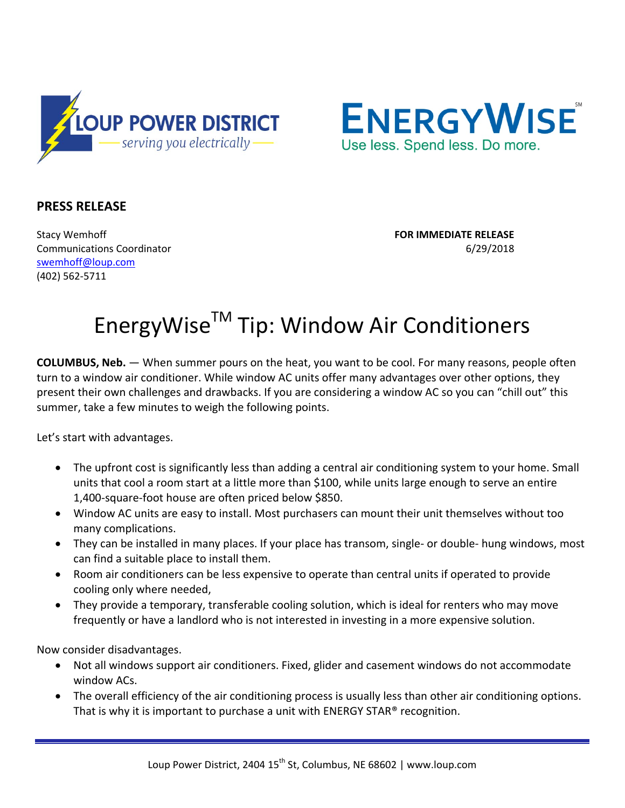



## **PRESS RELEASE**

Stacy Wemhoff **FOR IMMEDIATE RELEASE** Communications Coordinator 6/29/2018 [swemhoff@loup.com](mailto:swemhoff@loup.com)  (402) 562-5711

## EnergyWise<sup>™</sup> Tip: Window Air Conditioners

**COLUMBUS, Neb.** — When summer pours on the heat, you want to be cool. For many reasons, people often turn to a window air conditioner. While window AC units offer many advantages over other options, they present their own challenges and drawbacks. If you are considering a window AC so you can "chill out" this summer, take a few minutes to weigh the following points.

Let's start with advantages.

- The upfront cost is significantly less than adding a central air conditioning system to your home. Small units that cool a room start at a little more than \$100, while units large enough to serve an entire 1,400-square-foot house are often priced below \$850.
- Window AC units are easy to install. Most purchasers can mount their unit themselves without too many complications.
- They can be installed in many places. If your place has transom, single- or double- hung windows, most can find a suitable place to install them.
- Room air conditioners can be less expensive to operate than central units if operated to provide cooling only where needed,
- They provide a temporary, transferable cooling solution, which is ideal for renters who may move frequently or have a landlord who is not interested in investing in a more expensive solution.

Now consider disadvantages.

- Not all windows support air conditioners. Fixed, glider and casement windows do not accommodate window ACs.
- The overall efficiency of the air conditioning process is usually less than other air conditioning options. That is why it is important to purchase a unit with ENERGY STAR® recognition.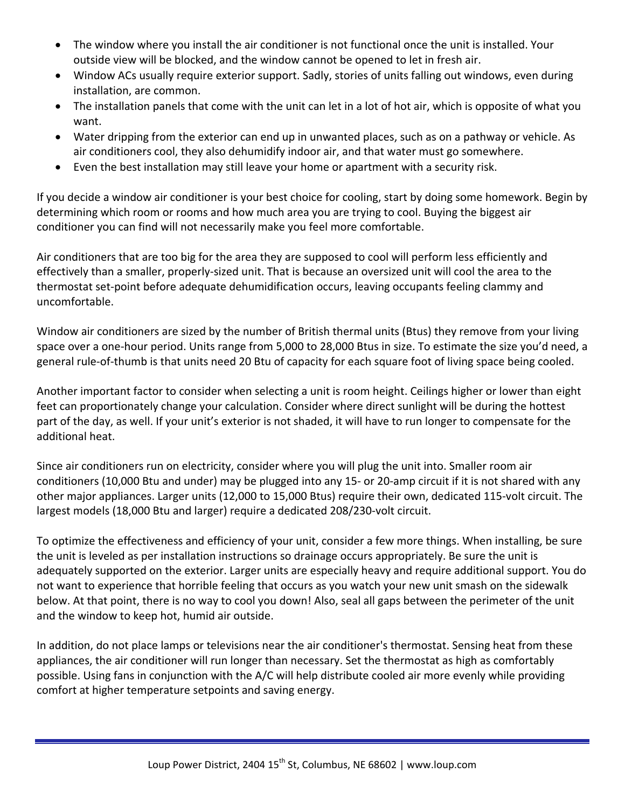- The window where you install the air conditioner is not functional once the unit is installed. Your outside view will be blocked, and the window cannot be opened to let in fresh air.
- Window ACs usually require exterior support. Sadly, stories of units falling out windows, even during installation, are common.
- The installation panels that come with the unit can let in a lot of hot air, which is opposite of what you want.
- Water dripping from the exterior can end up in unwanted places, such as on a pathway or vehicle. As air conditioners cool, they also dehumidify indoor air, and that water must go somewhere.
- Even the best installation may still leave your home or apartment with a security risk.

If you decide a window air conditioner is your best choice for cooling, start by doing some homework. Begin by determining which room or rooms and how much area you are trying to cool. Buying the biggest air conditioner you can find will not necessarily make you feel more comfortable.

Air conditioners that are too big for the area they are supposed to cool will perform less efficiently and effectively than a smaller, properly-sized unit. That is because an oversized unit will cool the area to the thermostat set-point before adequate dehumidification occurs, leaving occupants feeling clammy and uncomfortable.

Window air conditioners are sized by the number of British thermal units (Btus) they remove from your living space over a one-hour period. Units range from 5,000 to 28,000 Btus in size. To estimate the size you'd need, a general rule-of-thumb is that units need 20 Btu of capacity for each square foot of living space being cooled.

Another important factor to consider when selecting a unit is room height. Ceilings higher or lower than eight feet can proportionately change your calculation. Consider where direct sunlight will be during the hottest part of the day, as well. If your unit's exterior is not shaded, it will have to run longer to compensate for the additional heat.

Since air conditioners run on electricity, consider where you will plug the unit into. Smaller room air conditioners (10,000 Btu and under) may be plugged into any 15- or 20-amp circuit if it is not shared with any other major appliances. Larger units (12,000 to 15,000 Btus) require their own, dedicated 115-volt circuit. The largest models (18,000 Btu and larger) require a dedicated 208/230-volt circuit.

To optimize the effectiveness and efficiency of your unit, consider a few more things. When installing, be sure the unit is leveled as per installation instructions so drainage occurs appropriately. Be sure the unit is adequately supported on the exterior. Larger units are especially heavy and require additional support. You do not want to experience that horrible feeling that occurs as you watch your new unit smash on the sidewalk below. At that point, there is no way to cool you down! Also, seal all gaps between the perimeter of the unit and the window to keep hot, humid air outside.

In addition, do not place lamps or televisions near the air conditioner's thermostat. Sensing heat from these appliances, the air conditioner will run longer than necessary. Set the thermostat as high as comfortably possible. Using fans in conjunction with the A/C will help distribute cooled air more evenly while providing comfort at higher temperature setpoints and saving energy.